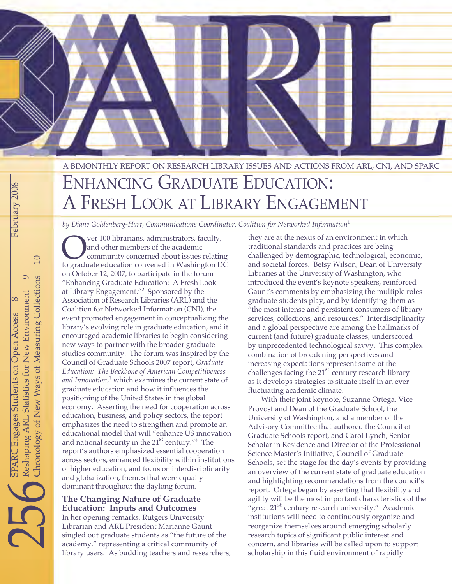

## A BIMONTHLY REPORT ON RESEARCH LIBRARY ISSUES AND ACTIONS FROM ARL, CNI, AND SPARC

# ENHANCING GRADUATE EDUCATION: A FRESH LOOK AT LIBRARY ENGAGEMENT

*by Diane Goldenberg-Hart, Communications Coordinator, Coalition for Networked Information*<sup>1</sup>

Over 100 librarians, administrators, faculty,<br>
and other members of the academic<br>
to graduate education convened in Washington DC and other members of the academic community concerned about issues relating on October 12, 2007, to participate in the forum "Enhancing Graduate Education: A Fresh Look at Library Engagement."2 Sponsored by the Association of Research Libraries (ARL) and the Coalition for Networked Information (CNI), the event promoted engagement in conceptualizing the library's evolving role in graduate education, and it encouraged academic libraries to begin considering new ways to partner with the broader graduate studies community. The forum was inspired by the Council of Graduate Schools 2007 report, *Graduate Education: The Backbone of American Competitiveness and Innovation*, <sup>3</sup> which examines the current state of graduate education and how it influences the positioning of the United States in the global economy. Asserting the need for cooperation across education, business, and policy sectors, the report emphasizes the need to strengthen and promote an educational model that will "enhance US innovation and national security in the  $21<sup>st</sup>$  century."<sup>4</sup> The report's authors emphasized essential cooperation across sectors, enhanced flexibility within institutions of higher education, and focus on interdisciplinarity and globalization, themes that were equally dominant throughout the daylong forum.

## **The Changing Nature of Graduate Education: Inputs and Outcomes**

In her opening remarks, Rutgers University Librarian and ARL President Marianne Gaunt singled out graduate students as "the future of the academy," representing a critical community of library users. As budding teachers and researchers,

they are at the nexus of an environment in which traditional standards and practices are being challenged by demographic, technological, economic, and societal forces. Betsy Wilson, Dean of University Libraries at the University of Washington, who introduced the event's keynote speakers, reinforced Gaunt's comments by emphasizing the multiple roles graduate students play, and by identifying them as "the most intense and persistent consumers of library services, collections, and resources." Interdisciplinarity and a global perspective are among the hallmarks of current (and future) graduate classes, underscored by unprecedented technological savvy. This complex combination of broadening perspectives and increasing expectations represent some of the challenges facing the 21<sup>st</sup>-century research library as it develops strategies to situate itself in an everfluctuating academic climate.

With their joint keynote, Suzanne Ortega, Vice Provost and Dean of the Graduate School, the University of Washington, and a member of the Advisory Committee that authored the Council of Graduate Schools report, and Carol Lynch, Senior Scholar in Residence and Director of the Professional Science Master's Initiative, Council of Graduate Schools, set the stage for the day's events by providing an overview of the current state of graduate education and highlighting recommendations from the council's report. Ortega began by asserting that flexibility and agility will be the most important characteristics of the "great 21<sup>st</sup>-century research university." Academic institutions will need to continuously organize and reorganize themselves around emerging scholarly research topics of significant public interest and concern, and libraries will be called upon to support scholarship in this fluid environment of rapidly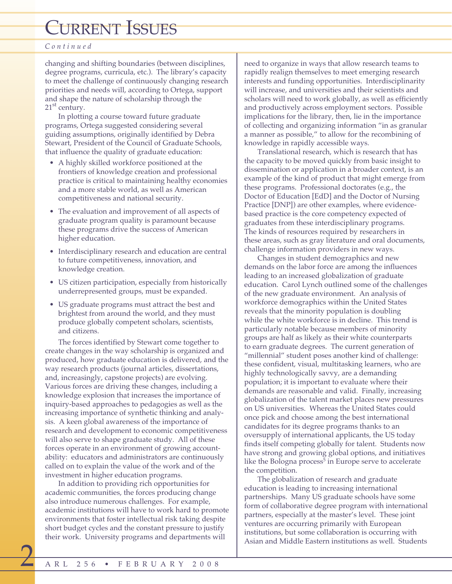## *Continued*

changing and shifting boundaries (between disciplines, degree programs, curricula, etc.). The library's capacity to meet the challenge of continuously changing research priorities and needs will, according to Ortega, support and shape the nature of scholarship through the  $21<sup>st</sup>$  century.

In plotting a course toward future graduate programs, Ortega suggested considering several guiding assumptions, originally identified by Debra Stewart, President of the Council of Graduate Schools, that influence the quality of graduate education:

- A highly skilled workforce positioned at the frontiers of knowledge creation and professional practice is critical to maintaining healthy economies and a more stable world, as well as American competitiveness and national security.
- The evaluation and improvement of all aspects of graduate program quality is paramount because these programs drive the success of American higher education.
- Interdisciplinary research and education are central to future competitiveness, innovation, and knowledge creation.
- US citizen participation, especially from historically underrepresented groups, must be expanded.
- US graduate programs must attract the best and brightest from around the world, and they must produce globally competent scholars, scientists, and citizens.

The forces identified by Stewart come together to create changes in the way scholarship is organized and produced, how graduate education is delivered, and the way research products (journal articles, dissertations, and, increasingly, capstone projects) are evolving. Various forces are driving these changes, including a knowledge explosion that increases the importance of inquiry-based approaches to pedagogies as well as the increasing importance of synthetic thinking and analysis. A keen global awareness of the importance of research and development to economic competitiveness will also serve to shape graduate study. All of these forces operate in an environment of growing accountability: educators and administrators are continuously called on to explain the value of the work and of the investment in higher education programs.

In addition to providing rich opportunities for academic communities, the forces producing change also introduce numerous challenges. For example, academic institutions will have to work hard to promote environments that foster intellectual risk taking despite short budget cycles and the constant pressure to justify their work. University programs and departments will

need to organize in ways that allow research teams to rapidly realign themselves to meet emerging research interests and funding opportunities. Interdisciplinarity will increase, and universities and their scientists and scholars will need to work globally, as well as efficiently and productively across employment sectors. Possible implications for the library, then, lie in the importance of collecting and organizing information "in as granular a manner as possible," to allow for the recombining of knowledge in rapidly accessible ways.

Translational research, which is research that has the capacity to be moved quickly from basic insight to dissemination or application in a broader context, is an example of the kind of product that might emerge from these programs. Professional doctorates (e.g., the Doctor of Education [EdD] and the Doctor of Nursing Practice [DNP]) are other examples, where evidencebased practice is the core competency expected of graduates from these interdisciplinary programs. The kinds of resources required by researchers in these areas, such as gray literature and oral documents, challenge information providers in new ways.

Changes in student demographics and new demands on the labor force are among the influences leading to an increased globalization of graduate education. Carol Lynch outlined some of the challenges of the new graduate environment. An analysis of workforce demographics within the United States reveals that the minority population is doubling while the white workforce is in decline. This trend is particularly notable because members of minority groups are half as likely as their white counterparts to earn graduate degrees. The current generation of "millennial" student poses another kind of challenge: these confident, visual, multitasking learners, who are highly technologically savvy, are a demanding population; it is important to evaluate where their demands are reasonable and valid. Finally, increasing globalization of the talent market places new pressures on US universities. Whereas the United States could once pick and choose among the best international candidates for its degree programs thanks to an oversupply of international applicants, the US today finds itself competing globally for talent. Students now have strong and growing global options, and initiatives like the Bologna process<sup>5</sup> in Europe serve to accelerate the competition.

The globalization of research and graduate education is leading to increasing international partnerships. Many US graduate schools have some form of collaborative degree program with international partners, especially at the master's level. These joint ventures are occurring primarily with European institutions, but some collaboration is occurring with Asian and Middle Eastern institutions as well. Students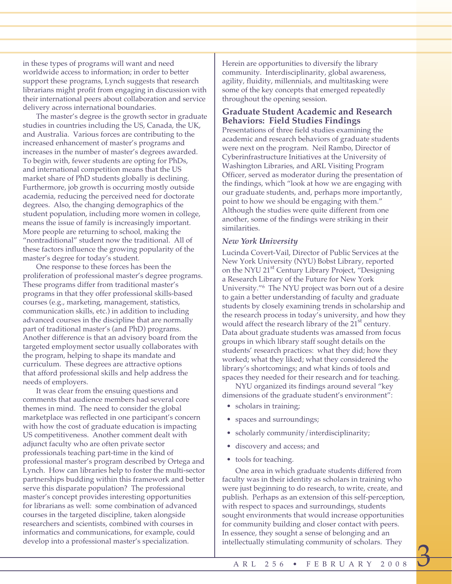in these types of programs will want and need worldwide access to information; in order to better support these programs, Lynch suggests that research librarians might profit from engaging in discussion with their international peers about collaboration and service delivery across international boundaries.

The master's degree is the growth sector in graduate studies in countries including the US, Canada, the UK, and Australia. Various forces are contributing to the increased enhancement of master's programs and increases in the number of master's degrees awarded. To begin with, fewer students are opting for PhDs, and international competition means that the US market share of PhD students globally is declining. Furthermore, job growth is occurring mostly outside academia, reducing the perceived need for doctorate degrees. Also, the changing demographics of the student population, including more women in college, means the issue of family is increasingly important. More people are returning to school, making the "nontraditional" student now the traditional. All of these factors influence the growing popularity of the master's degree for today's student.

One response to these forces has been the proliferation of professional master's degree programs. These programs differ from traditional master's programs in that they offer professional skills-based courses (e.g., marketing, management, statistics, communication skills, etc.) in addition to including advanced courses in the discipline that are normally part of traditional master's (and PhD) programs. Another difference is that an advisory board from the targeted employment sector usually collaborates with the program, helping to shape its mandate and curriculum. These degrees are attractive options that afford professional skills and help address the needs of employers.

It was clear from the ensuing questions and comments that audience members had several core themes in mind. The need to consider the global marketplace was reflected in one participant's concern with how the cost of graduate education is impacting US competitiveness. Another comment dealt with adjunct faculty who are often private sector professionals teaching part-time in the kind of professional master's program described by Ortega and Lynch. How can libraries help to foster the multi-sector partnerships budding within this framework and better serve this disparate population? The professional master's concept provides interesting opportunities for librarians as well: some combination of advanced courses in the targeted discipline, taken alongside researchers and scientists, combined with courses in informatics and communications, for example, could develop into a professional master's specialization.

Herein are opportunities to diversify the library community. Interdisciplinarity, global awareness, agility, fluidity, millennials, and multitasking were some of the key concepts that emerged repeatedly throughout the opening session.

## **Graduate Student Academic and Research Behaviors: Field Studies Findings**

Presentations of three field studies examining the academic and research behaviors of graduate students were next on the program. Neil Rambo, Director of Cyberinfrastructure Initiatives at the University of Washington Libraries, and ARL Visiting Program Officer, served as moderator during the presentation of the findings, which "look at how we are engaging with our graduate students, and, perhaps more importantly, point to how we should be engaging with them." Although the studies were quite different from one another, some of the findings were striking in their similarities.

## *New York University*

Lucinda Covert-Vail, Director of Public Services at the New York University (NYU) Bobst Library, reported on the NYU 21<sup>st</sup> Century Library Project, "Designing a Research Library of the Future for New York University."6 The NYU project was born out of a desire to gain a better understanding of faculty and graduate students by closely examining trends in scholarship and the research process in today's university, and how they would affect the research library of the 21<sup>st</sup> century. Data about graduate students was amassed from focus groups in which library staff sought details on the students' research practices: what they did; how they worked; what they liked; what they considered the library's shortcomings; and what kinds of tools and spaces they needed for their research and for teaching.

NYU organized its findings around several "key dimensions of the graduate student's environment":

- scholars in training;
- spaces and surroundings;
- scholarly community/interdisciplinarity;
- discovery and access; and
- tools for teaching.

One area in which graduate students differed from faculty was in their identity as scholars in training who were just beginning to do research, to write, create, and publish. Perhaps as an extension of this self-perception, with respect to spaces and surroundings, students sought environments that would increase opportunities for community building and closer contact with peers. In essence, they sought a sense of belonging and an intellectually stimulating community of scholars. They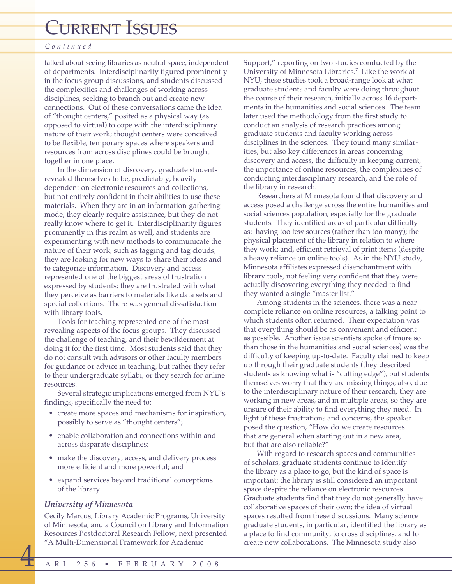## *Continued*

talked about seeing libraries as neutral space, independent of departments. Interdisciplinarity figured prominently in the focus group discussions, and students discussed the complexities and challenges of working across disciplines, seeking to branch out and create new connections. Out of these conversations came the idea of "thought centers," posited as a physical way (as opposed to virtual) to cope with the interdisciplinary nature of their work; thought centers were conceived to be flexible, temporary spaces where speakers and resources from across disciplines could be brought together in one place.

In the dimension of discovery, graduate students revealed themselves to be, predictably, heavily dependent on electronic resources and collections, but not entirely confident in their abilities to use these materials. When they are in an information-gathering mode, they clearly require assistance, but they do not really know where to get it. Interdisciplinarity figures prominently in this realm as well, and students are experimenting with new methods to communicate the nature of their work, such as tagging and tag clouds; they are looking for new ways to share their ideas and to categorize information. Discovery and access represented one of the biggest areas of frustration expressed by students; they are frustrated with what they perceive as barriers to materials like data sets and special collections. There was general dissatisfaction with library tools.

Tools for teaching represented one of the most revealing aspects of the focus groups. They discussed the challenge of teaching, and their bewilderment at doing it for the first time. Most students said that they do not consult with advisors or other faculty members for guidance or advice in teaching, but rather they refer to their undergraduate syllabi, or they search for online resources.

Several strategic implications emerged from NYU's findings, specifically the need to:

- create more spaces and mechanisms for inspiration, possibly to serve as "thought centers";
- enable collaboration and connections within and across disparate disciplines;
- make the discovery, access, and delivery process more efficient and more powerful; and
- expand services beyond traditional conceptions of the library.

## *University of Minnesota*

Cecily Marcus, Library Academic Programs, University of Minnesota, and a Council on Library and Information Resources Postdoctoral Research Fellow, next presented "A Multi-Dimensional Framework for Academic

Support," reporting on two studies conducted by the University of Minnesota Libraries.7 Like the work at NYU, these studies took a broad-range look at what graduate students and faculty were doing throughout the course of their research, initially across 16 departments in the humanities and social sciences. The team later used the methodology from the first study to conduct an analysis of research practices among graduate students and faculty working across disciplines in the sciences. They found many similarities, but also key differences in areas concerning discovery and access, the difficulty in keeping current, the importance of online resources, the complexities of conducting interdisciplinary research, and the role of the library in research.

Researchers at Minnesota found that discovery and access posed a challenge across the entire humanities and social sciences population, especially for the graduate students. They identified areas of particular difficulty as: having too few sources (rather than too many); the physical placement of the library in relation to where they work; and, efficient retrieval of print items (despite a heavy reliance on online tools). As in the NYU study, Minnesota affiliates expressed disenchantment with library tools, not feeling very confident that they were actually discovering everything they needed to find they wanted a single "master list."

Among students in the sciences, there was a near complete reliance on online resources, a talking point to which students often returned. Their expectation was that everything should be as convenient and efficient as possible. Another issue scientists spoke of (more so than those in the humanities and social sciences) was the difficulty of keeping up-to-date. Faculty claimed to keep up through their graduate students (they described students as knowing what is "cutting edge"), but students themselves worry that they are missing things; also, due to the interdisciplinary nature of their research, they are working in new areas, and in multiple areas, so they are unsure of their ability to find everything they need. In light of these frustrations and concerns, the speaker posed the question, "How do we create resources that are general when starting out in a new area, but that are also reliable?"

With regard to research spaces and communities of scholars, graduate students continue to identify the library as a place to go, but the kind of space is important; the library is still considered an important space despite the reliance on electronic resources. Graduate students find that they do not generally have collaborative spaces of their own; the idea of virtual spaces resulted from these discussions. Many science graduate students, in particular, identified the library as a place to find community, to cross disciplines, and to create new collaborations. The Minnesota study also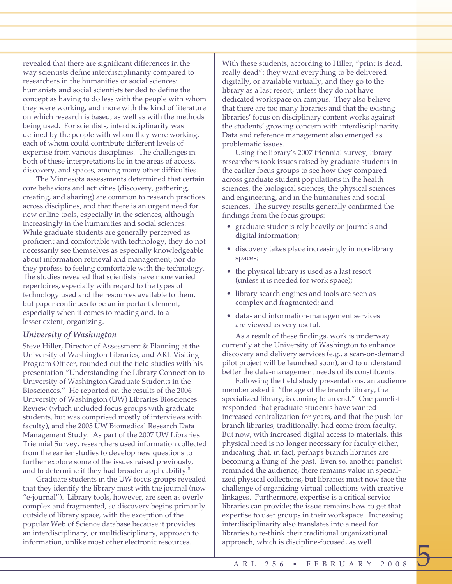revealed that there are significant differences in the way scientists define interdisciplinarity compared to researchers in the humanities or social sciences: humanists and social scientists tended to define the concept as having to do less with the people with whom they were working, and more with the kind of literature on which research is based, as well as with the methods being used. For scientists, interdisciplinarity was defined by the people with whom they were working, each of whom could contribute different levels of expertise from various disciplines. The challenges in both of these interpretations lie in the areas of access, discovery, and spaces, among many other difficulties.

The Minnesota assessments determined that certain core behaviors and activities (discovery, gathering, creating, and sharing) are common to research practices across disciplines, and that there is an urgent need for new online tools, especially in the sciences, although increasingly in the humanities and social sciences. While graduate students are generally perceived as proficient and comfortable with technology, they do not necessarily see themselves as especially knowledgeable about information retrieval and management, nor do they profess to feeling comfortable with the technology. The studies revealed that scientists have more varied repertoires, especially with regard to the types of technology used and the resources available to them, but paper continues to be an important element, especially when it comes to reading and, to a lesser extent, organizing.

#### *University of Washington*

Steve Hiller, Director of Assessment & Planning at the University of Washington Libraries, and ARL Visiting Program Officer, rounded out the field studies with his presentation "Understanding the Library Connection to University of Washington Graduate Students in the Biosciences." He reported on the results of the 2006 University of Washington (UW) Libraries Biosciences Review (which included focus groups with graduate students, but was comprised mostly of interviews with faculty), and the 2005 UW Biomedical Research Data Management Study. As part of the 2007 UW Libraries Triennial Survey, researchers used information collected from the earlier studies to develop new questions to further explore some of the issues raised previously, and to determine if they had broader applicability.8

Graduate students in the UW focus groups revealed that they identify the library most with the journal (now "e-journal"). Library tools, however, are seen as overly complex and fragmented, so discovery begins primarily outside of library space, with the exception of the popular Web of Science database because it provides an interdisciplinary, or multidisciplinary, approach to information, unlike most other electronic resources.

With these students, according to Hiller, "print is dead, really dead"; they want everything to be delivered digitally, or available virtually, and they go to the library as a last resort, unless they do not have dedicated workspace on campus. They also believe that there are too many libraries and that the existing libraries' focus on disciplinary content works against the students' growing concern with interdisciplinarity. Data and reference management also emerged as problematic issues.

Using the library's 2007 triennial survey, library researchers took issues raised by graduate students in the earlier focus groups to see how they compared across graduate student populations in the health sciences, the biological sciences, the physical sciences and engineering, and in the humanities and social sciences. The survey results generally confirmed the findings from the focus groups:

- graduate students rely heavily on journals and digital information;
- discovery takes place increasingly in non-library spaces;
- the physical library is used as a last resort (unless it is needed for work space);
- library search engines and tools are seen as complex and fragmented; and
- data- and information-management services are viewed as very useful.

As a result of these findings, work is underway currently at the University of Washington to enhance discovery and delivery services (e.g., a scan-on-demand pilot project will be launched soon), and to understand better the data-management needs of its constituents.

Following the field study presentations, an audience member asked if "the age of the branch library, the specialized library, is coming to an end." One panelist responded that graduate students have wanted increased centralization for years, and that the push for branch libraries, traditionally, had come from faculty. But now, with increased digital access to materials, this physical need is no longer necessary for faculty either, indicating that, in fact, perhaps branch libraries are becoming a thing of the past. Even so, another panelist reminded the audience, there remains value in specialized physical collections, but libraries must now face the challenge of organizing virtual collections with creative linkages. Furthermore, expertise is a critical service libraries can provide; the issue remains how to get that expertise to user groups in their workspace. Increasing interdisciplinarity also translates into a need for libraries to re-think their traditional organizational approach, which is discipline-focused, as well.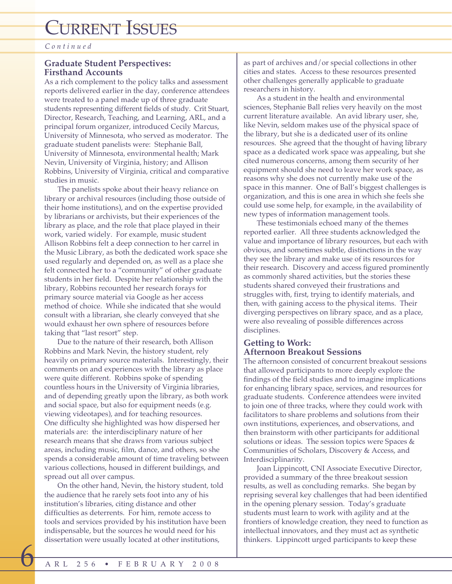*Continued*

## **Graduate Student Perspectives: Firsthand Accounts**

As a rich complement to the policy talks and assessment reports delivered earlier in the day, conference attendees were treated to a panel made up of three graduate students representing different fields of study. Crit Stuart, Director, Research, Teaching, and Learning, ARL, and a principal forum organizer, introduced Cecily Marcus, University of Minnesota, who served as moderator. The graduate student panelists were: Stephanie Ball, University of Minnesota, environmental health; Mark Nevin, University of Virginia, history; and Allison Robbins, University of Virginia, critical and comparative studies in music.

The panelists spoke about their heavy reliance on library or archival resources (including those outside of their home institutions), and on the expertise provided by librarians or archivists, but their experiences of the library as place, and the role that place played in their work, varied widely. For example, music student Allison Robbins felt a deep connection to her carrel in the Music Library, as both the dedicated work space she used regularly and depended on, as well as a place she felt connected her to a "community" of other graduate students in her field. Despite her relationship with the library, Robbins recounted her research forays for primary source material via Google as her access method of choice. While she indicated that she would consult with a librarian, she clearly conveyed that she would exhaust her own sphere of resources before taking that "last resort" step.

Due to the nature of their research, both Allison Robbins and Mark Nevin, the history student, rely heavily on primary source materials. Interestingly, their comments on and experiences with the library as place were quite different. Robbins spoke of spending countless hours in the University of Virginia libraries, and of depending greatly upon the library, as both work and social space, but also for equipment needs (e.g. viewing videotapes), and for teaching resources. One difficulty she highlighted was how dispersed her materials are: the interdisciplinary nature of her research means that she draws from various subject areas, including music, film, dance, and others, so she spends a considerable amount of time traveling between various collections, housed in different buildings, and spread out all over campus.

On the other hand, Nevin, the history student, told the audience that he rarely sets foot into any of his institution's libraries, citing distance and other difficulties as deterrents. For him, remote access to tools and services provided by his institution have been indispensable, but the sources he would need for his dissertation were usually located at other institutions,

as part of archives and/or special collections in other cities and states. Access to these resources presented other challenges generally applicable to graduate researchers in history.

As a student in the health and environmental sciences, Stephanie Ball relies very heavily on the most current literature available. An avid library user, she, like Nevin, seldom makes use of the physical space of the library, but she is a dedicated user of its online resources. She agreed that the thought of having library space as a dedicated work space was appealing, but she cited numerous concerns, among them security of her equipment should she need to leave her work space, as reasons why she does not currently make use of the space in this manner. One of Ball's biggest challenges is organization, and this is one area in which she feels she could use some help, for example, in the availability of new types of information management tools.

These testimonials echoed many of the themes reported earlier. All three students acknowledged the value and importance of library resources, but each with obvious, and sometimes subtle, distinctions in the way they see the library and make use of its resources for their research. Discovery and access figured prominently as commonly shared activities, but the stories these students shared conveyed their frustrations and struggles with, first, trying to identify materials, and then, with gaining access to the physical items. Their diverging perspectives on library space, and as a place, were also revealing of possible differences across disciplines.

## **Getting to Work: Afternoon Breakout Sessions**

The afternoon consisted of concurrent breakout sessions that allowed participants to more deeply explore the findings of the field studies and to imagine implications for enhancing library space, services, and resources for graduate students. Conference attendees were invited to join one of three tracks, where they could work with facilitators to share problems and solutions from their own institutions, experiences, and observations, and then brainstorm with other participants for additional solutions or ideas. The session topics were Spaces & Communities of Scholars, Discovery & Access, and Interdisciplinarity.

Joan Lippincott, CNI Associate Executive Director, provided a summary of the three breakout session results, as well as concluding remarks. She began by reprising several key challenges that had been identified in the opening plenary session. Today's graduate students must learn to work with agility and at the frontiers of knowledge creation, they need to function as intellectual innovators, and they must act as synthetic thinkers. Lippincott urged participants to keep these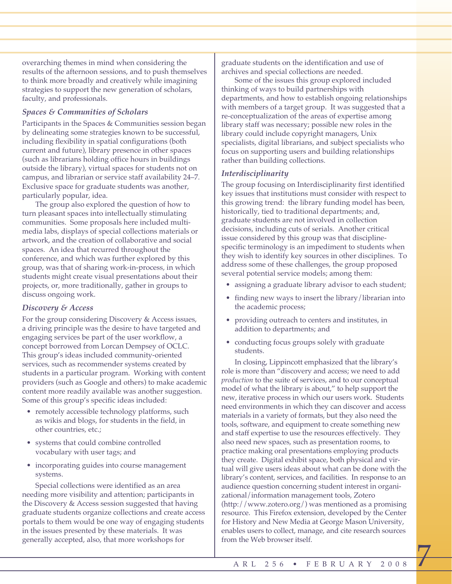overarching themes in mind when considering the results of the afternoon sessions, and to push themselves to think more broadly and creatively while imagining strategies to support the new generation of scholars, faculty, and professionals.

## *Spaces & Communities of Scholars*

Participants in the Spaces & Communities session began by delineating some strategies known to be successful, including flexibility in spatial configurations (both current and future), library presence in other spaces (such as librarians holding office hours in buildings outside the library), virtual spaces for students not on campus, and librarian or service staff availability 24–7. Exclusive space for graduate students was another, particularly popular, idea.

The group also explored the question of how to turn pleasant spaces into intellectually stimulating communities. Some proposals here included multimedia labs, displays of special collections materials or artwork, and the creation of collaborative and social spaces. An idea that recurred throughout the conference, and which was further explored by this group, was that of sharing work-in-process, in which students might create visual presentations about their projects, or, more traditionally, gather in groups to discuss ongoing work.

## *Discovery & Access*

For the group considering Discovery & Access issues, a driving principle was the desire to have targeted and engaging services be part of the user workflow, a concept borrowed from Lorcan Dempsey of OCLC. This group's ideas included community-oriented services, such as recommender systems created by students in a particular program. Working with content providers (such as Google and others) to make academic content more readily available was another suggestion. Some of this group's specific ideas included:

- remotely accessible technology platforms, such as wikis and blogs, for students in the field, in other countries, etc.;
- systems that could combine controlled vocabulary with user tags; and
- incorporating guides into course management systems.

Special collections were identified as an area needing more visibility and attention; participants in the Discovery & Access session suggested that having graduate students organize collections and create access portals to them would be one way of engaging students in the issues presented by these materials. It was generally accepted, also, that more workshops for

graduate students on the identification and use of archives and special collections are needed.

Some of the issues this group explored included thinking of ways to build partnerships with departments, and how to establish ongoing relationships with members of a target group. It was suggested that a re-conceptualization of the areas of expertise among library staff was necessary; possible new roles in the library could include copyright managers, Unix specialists, digital librarians, and subject specialists who focus on supporting users and building relationships rather than building collections.

## *Interdisciplinarity*

The group focusing on Interdisciplinarity first identified key issues that institutions must consider with respect to this growing trend: the library funding model has been, historically, tied to traditional departments; and, graduate students are not involved in collection decisions, including cuts of serials. Another critical issue considered by this group was that disciplinespecific terminology is an impediment to students when they wish to identify key sources in other disciplines. To address some of these challenges, the group proposed several potential service models; among them:

- assigning a graduate library advisor to each student;
- finding new ways to insert the library/librarian into the academic process;
- providing outreach to centers and institutes, in addition to departments; and
- conducting focus groups solely with graduate students.

In closing, Lippincott emphasized that the library's role is more than "discovery and access; we need to add *production* to the suite of services, and to our conceptual model of what the library is about," to help support the new, iterative process in which our users work. Students need environments in which they can discover and access materials in a variety of formats, but they also need the tools, software, and equipment to create something new and staff expertise to use the resources effectively. They also need new spaces, such as presentation rooms, to practice making oral presentations employing products they create. Digital exhibit space, both physical and virtual will give users ideas about what can be done with the library's content, services, and facilities. In response to an audience question concerning student interest in organizational/information management tools, Zotero (http://www.zotero.org/) was mentioned as a promising resource. This Firefox extension, developed by the Center for History and New Media at George Mason University, enables users to collect, manage, and cite research sources from the Web browser itself.

 $\overline{1}$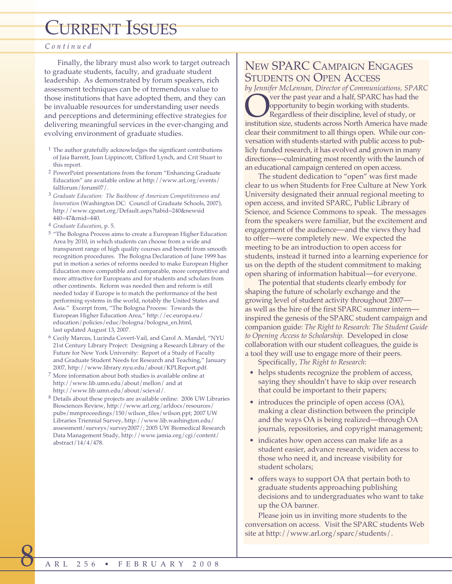## *Continued*

Finally, the library must also work to target outreach to graduate students, faculty, and graduate student leadership. As demonstrated by forum speakers, rich assessment techniques can be of tremendous value to those institutions that have adopted them, and they can be invaluable resources for understanding user needs and perceptions and determining effective strategies for delivering meaningful services in the ever-changing and evolving environment of graduate studies.

- 1 The author gratefully acknowledges the significant contributions of Jaia Barrett, Joan Lippincott, Clifford Lynch, and Crit Stuart to this report.
- 2 PowerPoint presentations from the forum "Enhancing Graduate Education" are available online at http://www.arl.org/events/ fallforum/forum07/.
- <sup>3</sup> *Graduate Education: The Backbone of American Competitiveness and Innovation* (Washington DC: Council of Graduate Schools, 2007), http://www.cgsnet.org/Default.aspx?tabid=240&newsid 440=47&mid=440.
- <sup>4</sup> *Graduate Education*, p. 5.
- 5 "The Bologna Process aims to create a European Higher Education Area by 2010, in which students can choose from a wide and transparent range of high quality courses and benefit from smooth recognition procedures. The Bologna Declaration of June 1999 has put in motion a series of reforms needed to make European Higher Education more compatible and comparable, more competitive and more attractive for Europeans and for students and scholars from other continents. Reform was needed then and reform is still needed today if Europe is to match the performance of the best performing systems in the world, notably the United States and Asia." Excerpt from, "The Bologna Process: Towards the European Higher Education Area," http://ec.europa.eu/ education/policies/educ/bologna/bologna\_en.html, last updated August 13, 2007.
- 6 Cecily Marcus, Lucinda Covert-Vail, and Carol A. Mandel, "NYU 21st Century Library Project: Designing a Research Library of the Future for New York University: Report of a Study of Faculty and Graduate Student Needs for Research and Teaching," January 2007, http://www.library.nyu.edu/about/KPLReport.pdf.
- 7 More information about both studies is available online at http://www.lib.umn.edu/about/mellon/ and at http://www.lib.umn.edu/about/scieval/.
- 8 Details about these projects are available online: 2006 UW Libraries Biosciences Review, http://www.arl.org/arldocs/resources/ pubs/mmproceedings/150/wilson\_files/wilson.ppt; 2007 UW Libraries Triennial Survey, http://www.lib.washington.edu/ assessment/surveys/survey2007/; 2005 UW Biomedical Research Data Management Study, http://www.jamia.org/cgi/content/ abstract/14/4/478.

## NEW SPARC CAMPAIGN ENGAGES STUDENTS ON OPEN ACCESS

*by Jennifer McLennan, Director of Communications, SPARC* **Over the past year and a half, SPARC has had the opportunity to begin working with students.**<br>Regardless of their discipline, level of study, or institution size, students across North America have made opportunity to begin working with students. Regardless of their discipline, level of study, or clear their commitment to all things open. While our conversation with students started with public access to publicly funded research, it has evolved and grown in many directions—culminating most recently with the launch of an educational campaign centered on open access.

The student dedication to "open" was first made clear to us when Students for Free Culture at New York University designated their annual regional meeting to open access, and invited SPARC, Public Library of Science, and Science Commons to speak. The messages from the speakers were familiar, but the excitement and engagement of the audience—and the views they had to offer—were completely new. We expected the meeting to be an introduction to open access for students, instead it turned into a learning experience for us on the depth of the student commitment to making open sharing of information habitual—for everyone.

The potential that students clearly embody for shaping the future of scholarly exchange and the growing level of student activity throughout 2007 as well as the hire of the first SPARC summer intern inspired the genesis of the SPARC student campaign and companion guide: *The Right to Research: The Student Guide to Opening Access to Scholarship.* Developed in close collaboration with our student colleagues, the guide is a tool they will use to engage more of their peers.

Specifically, *The Right to Research*:

- helps students recognize the problem of access, saying they shouldn't have to skip over research that could be important to their papers;
- introduces the principle of open access (OA), making a clear distinction between the principle and the ways OA is being realized—through OA journals, repositories, and copyright management;
- indicates how open access can make life as a student easier, advance research, widen access to those who need it, and increase visibility for student scholars;
- offers ways to support OA that pertain both to graduate students approaching publishing decisions and to undergraduates who want to take up the OA banner.

Please join us in inviting more students to the conversation on access. Visit the SPARC students Web site at http://www.arl.org/sparc/students/.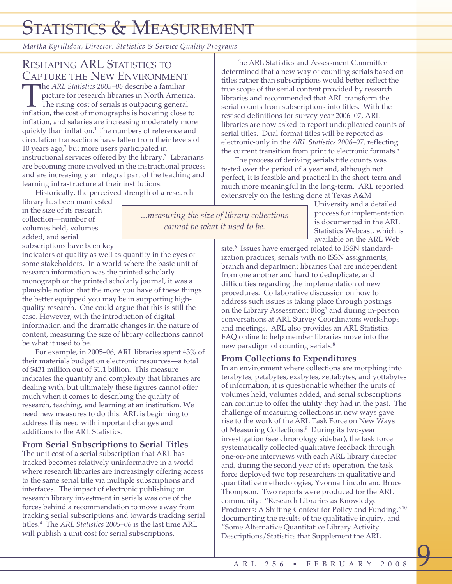# STATISTICS & MEASUREMENT

*Martha Kyrillidou, Director, Statistics & Service Quality Programs*

The *ARL Statistics* 2005–06 describe a familiar picture for research libraries in North America.<br>The rising cost of serials is outpacing general inflation, the cost of monographs is hovering close to picture for research libraries in North America. The rising cost of serials is outpacing general inflation, and salaries are increasing moderately more quickly than inflation.<sup>1</sup> The numbers of reference and circulation transactions have fallen from their levels of 10 years ago,<sup>2</sup> but more users participated in instructional services offered by the library.3 Librarians are becoming more involved in the instructional process and are increasingly an integral part of the teaching and learning infrastructure at their institutions.

Historically, the perceived strength of a research

library has been manifested in the size of its research collection—number of volumes held, volumes added, and serial

subscriptions have been key indicators of quality as well as quantity in the eyes of some stakeholders. In a world where the basic unit of research information was the printed scholarly monograph or the printed scholarly journal, it was a plausible notion that the more you have of these things the better equipped you may be in supporting highquality research. One could argue that this is still the case. However, with the introduction of digital information and the dramatic changes in the nature of content, measuring the size of library collections cannot be what it used to be.

For example, in 2005–06, ARL libraries spent 43% of their materials budget on electronic resources—a total of \$431 million out of \$1.1 billion. This measure indicates the quantity and complexity that libraries are dealing with, but ultimately these figures cannot offer much when it comes to describing the quality of research, teaching, and learning at an institution. We need new measures to do this. ARL is beginning to address this need with important changes and additions to the ARL Statistics.

## **From Serial Subscriptions to Serial Titles**

The unit cost of a serial subscription that ARL has tracked becomes relatively uninformative in a world where research libraries are increasingly offering access to the same serial title via multiple subscriptions and interfaces. The impact of electronic publishing on research library investment in serials was one of the forces behind a recommendation to move away from tracking serial subscriptions and towards tracking serial titles.4 The *ARL Statistics 2005–06* is the last time ARL will publish a unit cost for serial subscriptions.

The ARL Statistics and Assessment Committee determined that a new way of counting serials based on titles rather than subscriptions would better reflect the true scope of the serial content provided by research libraries and recommended that ARL transform the serial counts from subscriptions into titles. With the revised definitions for survey year 2006–07, ARL libraries are now asked to report unduplicated counts of serial titles. Dual-format titles will be reported as electronic-only in the *ARL Statistics 2006–07*, reflecting the current transition from print to electronic formats.<sup>5</sup>

The process of deriving serials title counts was tested over the period of a year and, although not perfect, it is feasible and practical in the short-term and much more meaningful in the long-term. ARL reported extensively on the testing done at Texas A&M

University and a detailed process for implementation is documented in the ARL Statistics Webcast, which is available on the ARL Web

site.<sup>6</sup> Issues have emerged related to ISSN standardization practices, serials with no ISSN assignments, branch and department libraries that are independent from one another and hard to deduplicate, and difficulties regarding the implementation of new procedures. Collaborative discussion on how to address such issues is taking place through postings on the Library Assessment Blog<sup>7</sup> and during in-person conversations at ARL Survey Coordinators workshops and meetings. ARL also provides an ARL Statistics FAQ online to help member libraries move into the new paradigm of counting serials.<sup>8</sup>

## **From Collections to Expenditures**

In an environment where collections are morphing into terabytes, petabytes, exabytes, zettabytes, and yottabytes of information, it is questionable whether the units of volumes held, volumes added, and serial subscriptions can continue to offer the utility they had in the past. The challenge of measuring collections in new ways gave rise to the work of the ARL Task Force on New Ways of Measuring Collections.<sup>9</sup> During its two-year investigation (see chronology sidebar), the task force systematically collected qualitative feedback through one-on-one interviews with each ARL library director and, during the second year of its operation, the task force deployed two top researchers in qualitative and quantitative methodologies, Yvonna Lincoln and Bruce Thompson. Two reports were produced for the ARL community: "Research Libraries as Knowledge Producers: A Shifting Context for Policy and Funding,"10 documenting the results of the qualitative inquiry, and "Some Alternative Quantitative Library Activity Descriptions/Statistics that Supplement the ARL

<u>9</u>

*...measuring the size of library collections cannot be what it used to be.* 

## RESHAPING ARL STATISTICS TO **CAPTURE THE NEW ENVIRONMENT**<br>The *ARL Statistics* 2005–06 describe a familiar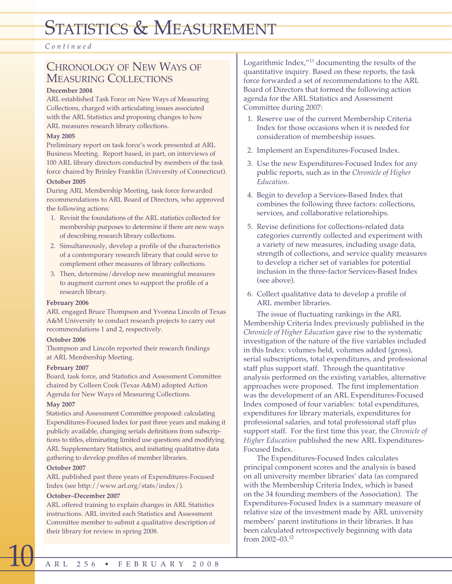# STATISTICS & MEASUREMENT

*Continued*

## CHRONOLOGY OF NEW WAYS OF MEASURING COLLECTIONS

#### **December 2004**

ARL established Task Force on New Ways of Measuring Collections, charged with articulating issues associated with the ARL Statistics and proposing changes to how ARL measures research library collections.

## **May 2005**

Preliminary report on task force's work presented at ARL Business Meeting. Report based, in part, on interviews of 100 ARL library directors conducted by members of the task force chaired by Brinley Franklin (University of Connecticut).

## **October 2005**

During ARL Membership Meeting, task force forwarded recommendations to ARL Board of Directors, who approved the following actions:

- 1. Revisit the foundations of the ARL statistics collected for membership purposes to determine if there are new ways of describing research library collections.
- 2. Simultaneously, develop a profile of the characteristics of a contemporary research library that could serve to complement other measures of library collections.
- 3. Then, determine/develop new meaningful measures to augment current ones to support the profile of a research library.

## **February 2006**

ARL engaged Bruce Thompson and Yvonna Lincoln of Texas A&M University to conduct research projects to carry out recommendations 1 and 2, respectively.

## **October 2006**

Thompson and Lincoln reported their research findings at ARL Membership Meeting.

## **February 2007**

Board, task force, and Statistics and Assessment Committee chaired by Colleen Cook (Texas A&M) adopted Action Agenda for New Ways of Measuring Collections.

## **May 2007**

Statistics and Assessment Committee proposed: calculating Expenditures-Focused Index for past three years and making it publicly available, changing serials definitions from subscriptions to titles, eliminating limited use questions and modifying ARL Supplementary Statistics, and initiating qualitative data gathering to develop profiles of member libraries.

## **October 2007**

ARL published past three years of Expenditures-Focused Index (see http://www.arl.org/stats/index/).

## **October–December 2007**

ARL offered training to explain changes in ARL Statistics instructions. ARL invited each Statistics and Assessment Committee member to submit a qualitative description of their library for review in spring 2008.

Logarithmic Index,"11 documenting the results of the quantitative inquiry. Based on these reports, the task force forwarded a set of recommendations to the ARL Board of Directors that formed the following action agenda for the ARL Statistics and Assessment Committee during 2007:

- 1. Reserve use of the current Membership Criteria Index for those occasions when it is needed for consideration of membership issues.
- 2. Implement an Expenditures-Focused Index.
- 3. Use the new Expenditures-Focused Index for any public reports, such as in the *Chronicle of Higher Education*.
- 4. Begin to develop a Services-Based Index that combines the following three factors: collections, services, and collaborative relationships.
- 5. Revise definitions for collections-related data categories currently collected and experiment with a variety of new measures, including usage data, strength of collections, and service quality measures to develop a richer set of variables for potential inclusion in the three-factor Services-Based Index (see above).
- 6. Collect qualitative data to develop a profile of ARL member libraries.

The issue of fluctuating rankings in the ARL Membership Criteria Index previously published in the *Chronicle of Higher Education* gave rise to the systematic investigation of the nature of the five variables included in this Index: volumes held, volumes added (gross), serial subscriptions, total expenditures, and professional staff plus support staff. Through the quantitative analysis performed on the existing variables, alternative approaches were proposed. The first implementation was the development of an ARL Expenditures-Focused Index composed of four variables: total expenditures, expenditures for library materials, expenditures for professional salaries, and total professional staff plus support staff. For the first time this year, the *Chronicle of Higher Education* published the new ARL Expenditures-Focused Index.

The Expenditures-Focused Index calculates principal component scores and the analysis is based on all university member libraries' data (as compared with the Membership Criteria Index, which is based on the 34 founding members of the Association). The Expenditures-Focused Index is a summary measure of relative size of the investment made by ARL university members' parent institutions in their libraries. It has been calculated retrospectively beginning with data from 2002–03.12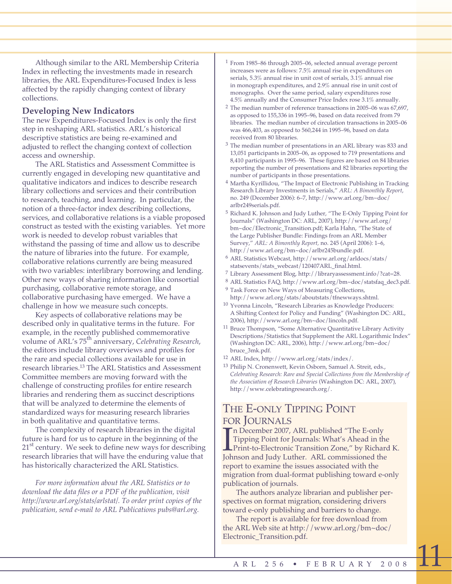Although similar to the ARL Membership Criteria Index in reflecting the investments made in research libraries, the ARL Expenditures-Focused Index is less affected by the rapidly changing context of library collections.

## **Developing New Indicators**

The new Expenditures-Focused Index is only the first step in reshaping ARL statistics. ARL's historical descriptive statistics are being re-examined and adjusted to reflect the changing context of collection access and ownership.

The ARL Statistics and Assessment Committee is currently engaged in developing new quantitative and qualitative indicators and indices to describe research library collections and services and their contribution to research, teaching, and learning. In particular, the notion of a three-factor index describing collections, services, and collaborative relations is a viable proposed construct as tested with the existing variables. Yet more work is needed to develop robust variables that withstand the passing of time and allow us to describe the nature of libraries into the future. For example, collaborative relations currently are being measured with two variables: interlibrary borrowing and lending. Other new ways of sharing information like consortial purchasing, collaborative remote storage, and collaborative purchasing have emerged. We have a challenge in how we measure such concepts.

Key aspects of collaborative relations may be described only in qualitative terms in the future. For example, in the recently published commemorative volume of ARL's 75th anniversary, *Celebrating Research*, the editors include library overviews and profiles for the rare and special collections available for use in research libraries.13 The ARL Statistics and Assessment Committee members are moving forward with the challenge of constructing profiles for entire research libraries and rendering them as succinct descriptions that will be analyzed to determine the elements of standardized ways for measuring research libraries in both qualitative and quantitative terms.

The complexity of research libraries in the digital future is hard for us to capture in the beginning of the  $21<sup>st</sup>$  century. We seek to define new ways for describing research libraries that will have the enduring value that has historically characterized the ARL Statistics.

*For more information about the ARL Statistics or to download the data files or a PDF of the publication, visit http://www.arl.org/stats/arlstat/. To order print copies of the publication, send e-mail to ARL Publications pubs@arl.org.*

- $1$  From 1985–86 through 2005–06, selected annual average percent increases were as follows: 7.5% annual rise in expenditures on serials, 5.3% annual rise in unit cost of serials, 3.1% annual rise in monograph expenditures, and 2.9% annual rise in unit cost of monographs. Over the same period, salary expenditures rose 4.5% annually and the Consumer Price Index rose 3.1% annually.
- 2 The median number of reference transactions in 2005–06 was 67,697, as opposed to 155,336 in 1995–96, based on data received from 79 libraries. The median number of circulation transactions in 2005–06 was 466,403, as opposed to 560,244 in 1995–96, based on data received from 80 libraries.
- 3 The median number of presentations in an ARL library was 833 and 13,051 participants in 2005–06, as opposed to 719 presentations and 8,410 participants in 1995–96. These figures are based on 84 libraries reporting the number of presentations and 82 libraries reporting the number of participants in those presentations.
- 4 Martha Kyrillidou, "The Impact of Electronic Publishing in Tracking Research Library Investments in Serials," *ARL: A Bimonthly Report*, no. 249 (December 2006): 6–7, http://www.arl.org/bm~doc/ arlbr249serials.pdf.
- 5 Richard K. Johnson and Judy Luther, "The E-Only Tipping Point for Journals" (Washington DC: ARL, 2007), http://www.arl.org/ bm~doc/Electronic\_Transition.pdf; Karla Hahn, *"*The State of the Large Publisher Bundle: Findings from an ARL Member Survey," *ARL: A Bimonthly Report,* no. 245 (April 2006): 1–6, http://www.arl.org/bm~doc/arlbr245bundle.pdf.
- 6 ARL Statistics Webcast, http://www.arl.org/arldocs/stats/ statsevents/stats\_webcast/120407ARL\_final.html.
- 7 Library Assessment Blog, http://libraryassessment.info/?cat=28.
- 8 ARL Statistics FAQ, http://www.arl.org/bm~doc/statsfaq\_dec3.pdf.
- 9 Task Force on New Ways of Measuring Collections, http://www.arl.org/stats/aboutstats/tfnewways.shtml.
- 10 Yvonna Lincoln, "Research Libraries as Knowledge Producers: A Shifting Context for Policy and Funding" (Washington DC: ARL, 2006), http://www.arl.org/bm~doc/lincoln.pdf.
- 11 Bruce Thompson, "Some Alternative Quantitative Library Activity Descriptions/Statistics that Supplement the ARL Logarithmic Index" (Washington DC: ARL, 2006), http://www.arl.org/bm~doc/ bruce\_3mk.pdf.
- 12 ARL Index, http://www.arl.org/stats/index/.
- 13 Philip N. Cronenwett, Kevin Osborn, Samuel A. Streit, eds., *Celebrating Research: Rare and Special Collections from the Membership of the Association of Research Libraries* (Washington DC: ARL, 2007), http://www.celebratingresearch.org/.

## THE E-ONLY TIPPING POINT FOR JOURNALS

In December 2007, ARL published "The E-only<br>Tipping Point for Journals: What's Ahead in the<br>Print-to-Electronic Transition Zone," by Richard<br>Johnson and Judy Luther. ARL commissioned the n December 2007, ARL published "The E-only Tipping Point for Journals: What's Ahead in the **L** Print-to-Electronic Transition Zone," by Richard K. report to examine the issues associated with the migration from dual-format publishing toward e-only publication of journals.

The authors analyze librarian and publisher perspectives on format migration, considering drivers toward e-only publishing and barriers to change.

The report is available for free download from the ARL Web site at http://www.arl.org/bm~doc/ Electronic\_Transition.pdf.

 $\overline{\mathbf{H}}$